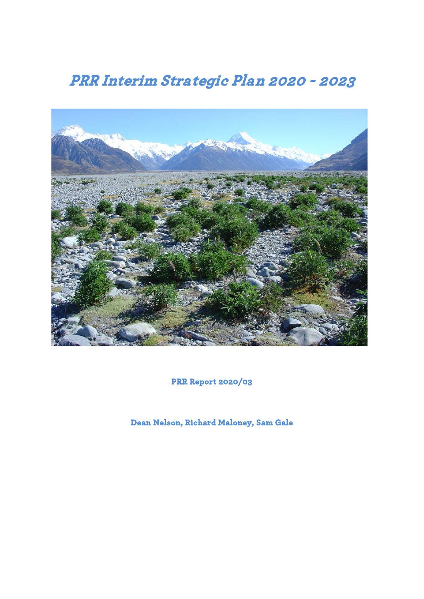# **PRR Interim Strategic Plan 2020 - 2023**



**PRR Report 2020/03** 

**Dean Nelson, Richard Maloney, Sam Gale**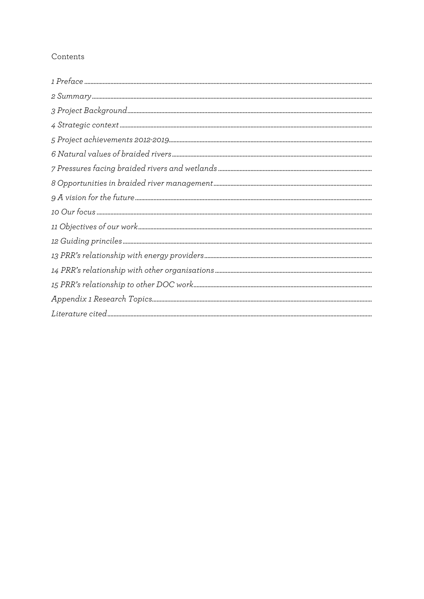# Contents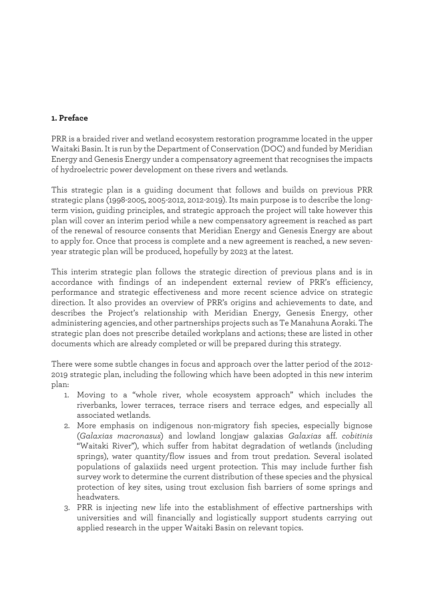## **1. Preface**

PRR is a braided river and wetland ecosystem restoration programme located in the upper Waitaki Basin. It is run by the Department of Conservation (DOC) and funded by Meridian Energy and Genesis Energy under a compensatory agreement that recognises the impacts of hydroelectric power development on these rivers and wetlands.

This strategic plan is a guiding document that follows and builds on previous PRR strategic plans (1998-2005, 2005-2012, 2012-2019). Its main purpose is to describe the longterm vision, guiding principles, and strategic approach the project will take however this plan will cover an interim period while a new compensatory agreement is reached as part of the renewal of resource consents that Meridian Energy and Genesis Energy are about to apply for. Once that process is complete and a new agreement is reached, a new sevenyear strategic plan will be produced, hopefully by 2023 at the latest.

This interim strategic plan follows the strategic direction of previous plans and is in accordance with findings of an independent external review of PRR's efficiency, performance and strategic effectiveness and more recent science advice on strategic direction. It also provides an overview of PRR's origins and achievements to date, and describes the Project's relationship with Meridian Energy, Genesis Energy, other administering agencies, and other partnerships projects such as Te Manahuna Aoraki. The strategic plan does not prescribe detailed workplans and actions; these are listed in other documents which are already completed or will be prepared during this strategy.

There were some subtle changes in focus and approach over the latter period of the 2012- 2019 strategic plan, including the following which have been adopted in this new interim plan:

- 1. Moving to a "whole river, whole ecosystem approach" which includes the riverbanks, lower terraces, terrace risers and terrace edges, and especially all associated wetlands.
- 2. More emphasis on indigenous non-migratory fish species, especially bignose (*Galaxias macronasus*) and lowland longjaw galaxias *Galaxias* aff. *cobitinis* "Waitaki River"), which suffer from habitat degradation of wetlands (including springs), water quantity/flow issues and from trout predation. Several isolated populations of galaxiids need urgent protection. This may include further fish survey work to determine the current distribution of these species and the physical protection of key sites, using trout exclusion fish barriers of some springs and headwaters.
- 3. PRR is injecting new life into the establishment of effective partnerships with universities and will financially and logistically support students carrying out applied research in the upper Waitaki Basin on relevant topics.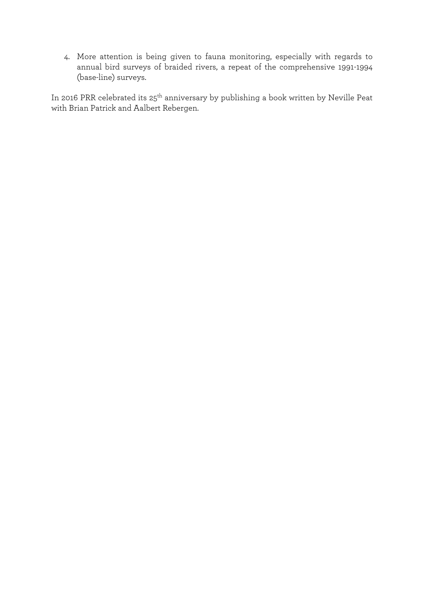4. More attention is being given to fauna monitoring, especially with regards to annual bird surveys of braided rivers, a repeat of the comprehensive 1991-1994 (base-line) surveys.

In 2016 PRR celebrated its 25<sup>th</sup> anniversary by publishing a book written by Neville Peat with Brian Patrick and Aalbert Rebergen.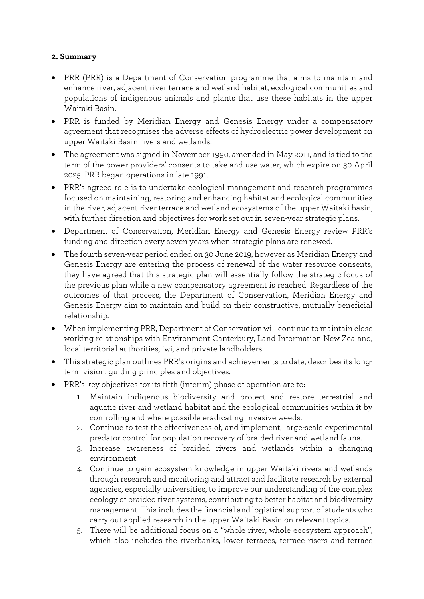# **2. Summary**

- PRR (PRR) is a Department of Conservation programme that aims to maintain and enhance river, adjacent river terrace and wetland habitat, ecological communities and populations of indigenous animals and plants that use these habitats in the upper Waitaki Basin.
- PRR is funded by Meridian Energy and Genesis Energy under a compensatory agreement that recognises the adverse effects of hydroelectric power development on upper Waitaki Basin rivers and wetlands.
- The agreement was signed in November 1990, amended in May 2011, and is tied to the term of the power providers' consents to take and use water, which expire on 30 April 2025. PRR began operations in late 1991.
- PRR's agreed role is to undertake ecological management and research programmes focused on maintaining, restoring and enhancing habitat and ecological communities in the river, adjacent river terrace and wetland ecosystems of the upper Waitaki basin, with further direction and objectives for work set out in seven-year strategic plans.
- Department of Conservation, Meridian Energy and Genesis Energy review PRR's funding and direction every seven years when strategic plans are renewed.
- The fourth seven-year period ended on 30 June 2019, however as Meridian Energy and Genesis Energy are entering the process of renewal of the water resource consents, they have agreed that this strategic plan will essentially follow the strategic focus of the previous plan while a new compensatory agreement is reached. Regardless of the outcomes of that process, the Department of Conservation, Meridian Energy and Genesis Energy aim to maintain and build on their constructive, mutually beneficial relationship.
- When implementing PRR, Department of Conservation will continue to maintain close working relationships with Environment Canterbury, Land Information New Zealand, local territorial authorities, iwi, and private landholders.
- This strategic plan outlines PRR's origins and achievements to date, describes its longterm vision, guiding principles and objectives.
- PRR's key objectives for its fifth (interim) phase of operation are to:
	- 1. Maintain indigenous biodiversity and protect and restore terrestrial and aquatic river and wetland habitat and the ecological communities within it by controlling and where possible eradicating invasive weeds.
	- 2. Continue to test the effectiveness of, and implement, large-scale experimental predator control for population recovery of braided river and wetland fauna.
	- 3. Increase awareness of braided rivers and wetlands within a changing environment.
	- 4. Continue to gain ecosystem knowledge in upper Waitaki rivers and wetlands through research and monitoring and attract and facilitate research by external agencies, especially universities, to improve our understanding of the complex ecology of braided river systems, contributing to better habitat and biodiversity management. This includes the financial and logistical support of students who carry out applied research in the upper Waitaki Basin on relevant topics.
	- 5. There will be additional focus on a "whole river, whole ecosystem approach", which also includes the riverbanks, lower terraces, terrace risers and terrace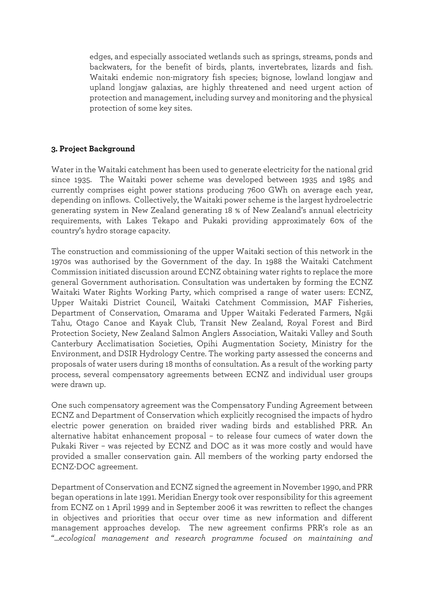edges, and especially associated wetlands such as springs, streams, ponds and backwaters, for the benefit of birds, plants, invertebrates, lizards and fish. Waitaki endemic non-migratory fish species; bignose, lowland longjaw and upland longjaw galaxias, are highly threatened and need urgent action of protection and management, including survey and monitoring and the physical protection of some key sites.

#### <span id="page-5-0"></span>**3. Project Background**

Water in the Waitaki catchment has been used to generate electricity for the national grid since 1935. The Waitaki power scheme was developed between 1935 and 1985 and currently comprises eight power stations producing 7600 GWh on average each year, depending on inflows. Collectively, the Waitaki power scheme is the largest hydroelectric generating system in New Zealand generating 18 % of New Zealand's annual electricity requirements, with Lakes Tekapo and Pukaki providing approximately 60% of the country's hydro storage capacity.

The construction and commissioning of the upper Waitaki section of this network in the 1970s was authorised by the Government of the day. In 1988 the Waitaki Catchment Commission initiated discussion around ECNZ obtaining water rights to replace the more general Government authorisation. Consultation was undertaken by forming the ECNZ Waitaki Water Rights Working Party, which comprised a range of water users: ECNZ, Upper Waitaki District Council, Waitaki Catchment Commission, MAF Fisheries, Department of Conservation, Omarama and Upper Waitaki Federated Farmers, Ngäi Tahu, Otago Canoe and Kayak Club, Transit New Zealand, Royal Forest and Bird Protection Society, New Zealand Salmon Anglers Association, Waitaki Valley and South Canterbury Acclimatisation Societies, Opihi Augmentation Society, Ministry for the Environment, and DSIR Hydrology Centre. The working party assessed the concerns and proposals of water users during 18 months of consultation. As a result of the working party process, several compensatory agreements between ECNZ and individual user groups were drawn up.

One such compensatory agreement was the Compensatory Funding Agreement between ECNZ and Department of Conservation which explicitly recognised the impacts of hydro electric power generation on braided river wading birds and established PRR. An alternative habitat enhancement proposal – to release four cumecs of water down the Pukaki River – was rejected by ECNZ and DOC as it was more costly and would have provided a smaller conservation gain. All members of the working party endorsed the ECNZ-DOC agreement.

Department of Conservation and ECNZ signed the agreement in November 1990, and PRR began operations in late 1991. Meridian Energy took over responsibility for this agreement from ECNZ on 1 April 1999 and in September 2006 it was rewritten to reflect the changes in objectives and priorities that occur over time as new information and different management approaches develop. The new agreement confirms PRR's role as an "...*ecological management and research programme focused on maintaining and*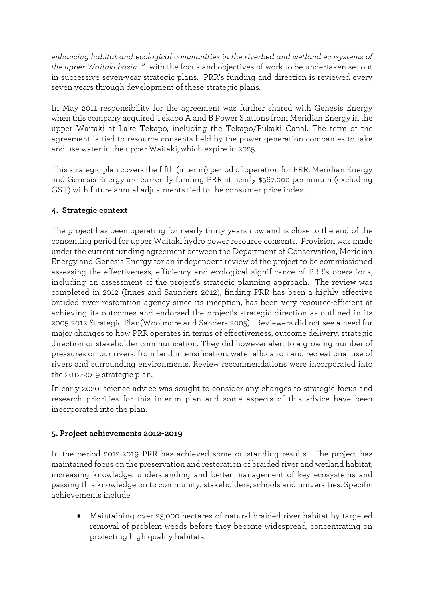*enhancing habitat and ecological communities in the riverbed and wetland ecosystems of the upper Waitaki basin*..." with the focus and objectives of work to be undertaken set out in successive seven-year strategic plans. PRR's funding and direction is reviewed every seven years through development of these strategic plans.

In May 2011 responsibility for the agreement was further shared with Genesis Energy when this company acquired Tekapo A and B Power Stations from Meridian Energy in the upper Waitaki at Lake Tekapo, including the Tekapo/Pukaki Canal. The term of the agreement is tied to resource consents held by the power generation companies to take and use water in the upper Waitaki, which expire in 2025.

This strategic plan covers the fifth (interim) period of operation for PRR. Meridian Energy and Genesis Energy are currently funding PRR at nearly \$567,000 per annum (excluding GST) with future annual adjustments tied to the consumer price index.

# <span id="page-6-0"></span>**4. Strategic context**

The project has been operating for nearly thirty years now and is close to the end of the consenting period for upper Waitaki hydro power resource consents. Provision was made under the current funding agreement between the Department of Conservation, Meridian Energy and Genesis Energy for an independent review of the project to be commissioned assessing the effectiveness, efficiency and ecological significance of PRR's operations, including an assessment of the project's strategic planning approach. The review was completed in 2012 (Innes and Saunders 2012), finding PRR has been a highly effective braided river restoration agency since its inception, has been very resource-efficient at achieving its outcomes and endorsed the project's strategic direction as outlined in its 2005-2012 Strategic Plan(Woolmore and Sanders 2005). Reviewers did not see a need for major changes to how PRR operates in terms of effectiveness, outcome delivery, strategic direction or stakeholder communication. They did however alert to a growing number of pressures on our rivers, from land intensification, water allocation and recreational use of rivers and surrounding environments. Review recommendations were incorporated into the 2012-2019 strategic plan.

In early 2020, science advice was sought to consider any changes to strategic focus and research priorities for this interim plan and some aspects of this advice have been incorporated into the plan.

# <span id="page-6-1"></span>**5. Project achievements 2012-2019**

In the period 2012-2019 PRR has achieved some outstanding results. The project has maintained focus on the preservation and restoration of braided river and wetland habitat, increasing knowledge, understanding and better management of key ecosystems and passing this knowledge on to community, stakeholders, schools and universities. Specific achievements include:

• Maintaining over 23,000 hectares of natural braided river habitat by targeted removal of problem weeds before they become widespread, concentrating on protecting high quality habitats.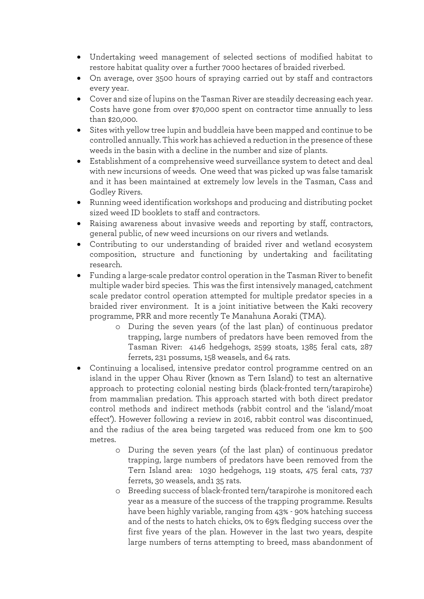- Undertaking weed management of selected sections of modified habitat to restore habitat quality over a further 7000 hectares of braided riverbed.
- On average, over 3500 hours of spraying carried out by staff and contractors every year.
- Cover and size of lupins on the Tasman River are steadily decreasing each year. Costs have gone from over \$70,000 spent on contractor time annually to less than \$20,000.
- Sites with yellow tree lupin and buddleia have been mapped and continue to be controlled annually. This work has achieved a reduction in the presence of these weeds in the basin with a decline in the number and size of plants.
- Establishment of a comprehensive weed surveillance system to detect and deal with new incursions of weeds. One weed that was picked up was false tamarisk and it has been maintained at extremely low levels in the Tasman, Cass and Godley Rivers.
- Running weed identification workshops and producing and distributing pocket sized weed ID booklets to staff and contractors.
- Raising awareness about invasive weeds and reporting by staff, contractors, general public, of new weed incursions on our rivers and wetlands.
- Contributing to our understanding of braided river and wetland ecosystem composition, structure and functioning by undertaking and facilitating research.
- Funding a large-scale predator control operation in the Tasman River to benefit multiple wader bird species. This was the first intensively managed, catchment scale predator control operation attempted for multiple predator species in a braided river environment. It is a joint initiative between the Kaki recovery programme, PRR and more recently Te Manahuna Aoraki (TMA).
	- o During the seven years (of the last plan) of continuous predator trapping, large numbers of predators have been removed from the Tasman River: 4146 hedgehogs, 2599 stoats, 1385 feral cats, 287 ferrets, 231 possums, 158 weasels, and 64 rats.
- Continuing a localised, intensive predator control programme centred on an island in the upper Ohau River (known as Tern Island) to test an alternative approach to protecting colonial nesting birds (black-fronted tern/tarapirohe) from mammalian predation. This approach started with both direct predator control methods and indirect methods (rabbit control and the 'island/moat effect'). However following a review in 2016, rabbit control was discontinued, and the radius of the area being targeted was reduced from one km to 500 metres.
	- o During the seven years (of the last plan) of continuous predator trapping, large numbers of predators have been removed from the Tern Island area: 1030 hedgehogs, 119 stoats, 475 feral cats, 737 ferrets, 30 weasels, and1 35 rats.
	- o Breeding success of black-fronted tern/tarapirohe is monitored each year as a measure of the success of the trapping programme. Results have been highly variable, ranging from 43% - 90% hatching success and of the nests to hatch chicks, 0% to 69% fledging success over the first five years of the plan. However in the last two years, despite large numbers of terns attempting to breed, mass abandonment of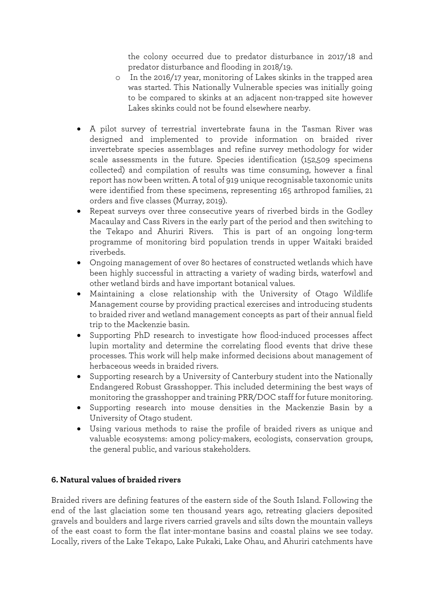the colony occurred due to predator disturbance in 2017/18 and predator disturbance and flooding in 2018/19.

- o In the 2016/17 year, monitoring of Lakes skinks in the trapped area was started. This Nationally Vulnerable species was initially going to be compared to skinks at an adjacent non-trapped site however Lakes skinks could not be found elsewhere nearby.
- A pilot survey of terrestrial invertebrate fauna in the Tasman River was designed and implemented to provide information on braided river invertebrate species assemblages and refine survey methodology for wider scale assessments in the future. Species identification (152,509 specimens collected) and compilation of results was time consuming, however a final report has now been written. A total of 919 unique recognisable taxonomic units were identified from these specimens, representing 165 arthropod families, 21 orders and five classes (Murray, 2019).
- Repeat surveys over three consecutive years of riverbed birds in the Godley Macaulay and Cass Rivers in the early part of the period and then switching to the Tekapo and Ahuriri Rivers. This is part of an ongoing long-term programme of monitoring bird population trends in upper Waitaki braided riverbeds.
- Ongoing management of over 80 hectares of constructed wetlands which have been highly successful in attracting a variety of wading birds, waterfowl and other wetland birds and have important botanical values.
- Maintaining a close relationship with the University of Otago Wildlife Management course by providing practical exercises and introducing students to braided river and wetland management concepts as part of their annual field trip to the Mackenzie basin.
- Supporting PhD research to investigate how flood-induced processes affect lupin mortality and determine the correlating flood events that drive these processes. This work will help make informed decisions about management of herbaceous weeds in braided rivers.
- Supporting research by a University of Canterbury student into the Nationally Endangered Robust Grasshopper. This included determining the best ways of monitoring the grasshopper and training PRR/DOC staff for future monitoring.
- Supporting research into mouse densities in the Mackenzie Basin by a University of Otago student.
- Using various methods to raise the profile of braided rivers as unique and valuable ecosystems: among policy-makers, ecologists, conservation groups, the general public, and various stakeholders.

# <span id="page-8-0"></span>**6. Natural values of braided rivers**

Braided rivers are defining features of the eastern side of the South Island. Following the end of the last glaciation some ten thousand years ago, retreating glaciers deposited gravels and boulders and large rivers carried gravels and silts down the mountain valleys of the east coast to form the flat inter-montane basins and coastal plains we see today. Locally, rivers of the Lake Tekapo, Lake Pukaki, Lake Ohau, and Ahuriri catchments have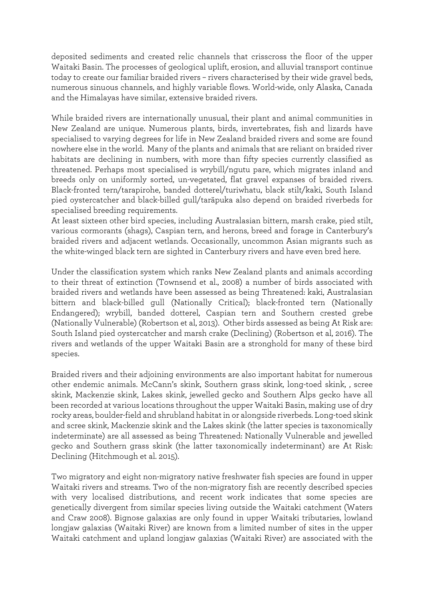deposited sediments and created relic channels that crisscross the floor of the upper Waitaki Basin. The processes of geological uplift, erosion, and alluvial transport continue today to create our familiar braided rivers – rivers characterised by their wide gravel beds, numerous sinuous channels, and highly variable flows. World-wide, only Alaska, Canada and the Himalayas have similar, extensive braided rivers.

While braided rivers are internationally unusual, their plant and animal communities in New Zealand are unique. Numerous plants, birds, invertebrates, fish and lizards have specialised to varying degrees for life in New Zealand braided rivers and some are found nowhere else in the world. Many of the plants and animals that are reliant on braided river habitats are declining in numbers, with more than fifty species currently classified as threatened. Perhaps most specialised is wrybill/ngutu pare, which migrates inland and breeds only on uniformly sorted, un-vegetated, flat gravel expanses of braided rivers. Black-fronted tern/tarapirohe, banded dotterel/turiwhatu, black stilt/kaki, South Island pied oystercatcher and black-billed gull/taräpuka also depend on braided riverbeds for specialised breeding requirements.

At least sixteen other bird species, including Australasian bittern, marsh crake, pied stilt, various cormorants (shags), Caspian tern, and herons, breed and forage in Canterbury's braided rivers and adjacent wetlands. Occasionally, uncommon Asian migrants such as the white-winged black tern are sighted in Canterbury rivers and have even bred here.

Under the classification system which ranks New Zealand plants and animals according to their threat of extinction (Townsend et al., 2008) a number of birds associated with braided rivers and wetlands have been assessed as being Threatened: kaki, Australasian bittern and black-billed gull (Nationally Critical); black-fronted tern (Nationally Endangered); wrybill, banded dotterel, Caspian tern and Southern crested grebe (Nationally Vulnerable) (Robertson et al, 2013). Other birds assessed as being At Risk are: South Island pied oystercatcher and marsh crake (Declining) (Robertson et al, 2016). The rivers and wetlands of the upper Waitaki Basin are a stronghold for many of these bird species.

Braided rivers and their adjoining environments are also important habitat for numerous other endemic animals. McCann's skink, Southern grass skink, long-toed skink, , scree skink, Mackenzie skink, Lakes skink, jewelled gecko and Southern Alps gecko have all been recorded at various locations throughout the upper Waitaki Basin, making use of dry rocky areas, boulder-field and shrubland habitat in or alongside riverbeds. Long-toed skink and scree skink, Mackenzie skink and the Lakes skink (the latter species is taxonomically indeterminate) are all assessed as being Threatened: Nationally Vulnerable and jewelled gecko and Southern grass skink (the latter taxonomically indeterminant) are At Risk: Declining (Hitchmough et al. 2015).

Two migratory and eight non-migratory native freshwater fish species are found in upper Waitaki rivers and streams. Two of the non-migratory fish are recently described species with very localised distributions, and recent work indicates that some species are genetically divergent from similar species living outside the Waitaki catchment (Waters and Craw 2008). Bignose galaxias are only found in upper Waitaki tributaries, lowland longjaw galaxias (Waitaki River) are known from a limited number of sites in the upper Waitaki catchment and upland longjaw galaxias (Waitaki River) are associated with the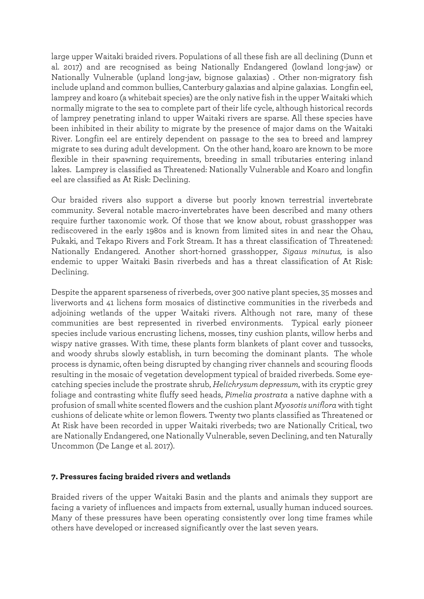large upper Waitaki braided rivers. Populations of all these fish are all declining (Dunn et al. 2017) and are recognised as being Nationally Endangered (lowland long-jaw) or Nationally Vulnerable (upland long-jaw, bignose galaxias) . Other non-migratory fish include upland and common bullies, Canterbury galaxias and alpine galaxias. Longfin eel, lamprey and koaro (a whitebait species) are the only native fish in the upper Waitaki which normally migrate to the sea to complete part of their life cycle, although historical records of lamprey penetrating inland to upper Waitaki rivers are sparse. All these species have been inhibited in their ability to migrate by the presence of major dams on the Waitaki River. Longfin eel are entirely dependent on passage to the sea to breed and lamprey migrate to sea during adult development. On the other hand, koaro are known to be more flexible in their spawning requirements, breeding in small tributaries entering inland lakes. Lamprey is classified as Threatened: Nationally Vulnerable and Koaro and longfin eel are classified as At Risk: Declining.

Our braided rivers also support a diverse but poorly known terrestrial invertebrate community. Several notable macro-invertebrates have been described and many others require further taxonomic work. Of those that we know about, robust grasshopper was rediscovered in the early 1980s and is known from limited sites in and near the Ohau, Pukaki, and Tekapo Rivers and Fork Stream. It has a threat classification of Threatened: Nationally Endangered. Another short-horned grasshopper, *Sigaus minutus,* is also endemic to upper Waitaki Basin riverbeds and has a threat classification of At Risk: Declining.

Despite the apparent sparseness of riverbeds, over 300 native plant species, 35 mosses and liverworts and 41 lichens form mosaics of distinctive communities in the riverbeds and adjoining wetlands of the upper Waitaki rivers. Although not rare, many of these communities are best represented in riverbed environments. Typical early pioneer species include various encrusting lichens, mosses, tiny cushion plants, willow herbs and wispy native grasses. With time, these plants form blankets of plant cover and tussocks, and woody shrubs slowly establish, in turn becoming the dominant plants. The whole process is dynamic, often being disrupted by changing river channels and scouring floods resulting in the mosaic of vegetation development typical of braided riverbeds. Some eyecatching species include the prostrate shrub, *Helichrysum depressum*, with its cryptic grey foliage and contrasting white fluffy seed heads, *Pimelia prostrata* a native daphne with a profusion of small white scented flowers and the cushion plant *Myosotis uniflora*with tight cushions of delicate white or lemon flowers*.* Twenty two plants classified as Threatened or At Risk have been recorded in upper Waitaki riverbeds; two are Nationally Critical, two are Nationally Endangered, one Nationally Vulnerable, seven Declining, and ten Naturally Uncommon (De Lange et al. 2017).

#### <span id="page-10-0"></span>**7. Pressures facing braided rivers and wetlands**

Braided rivers of the upper Waitaki Basin and the plants and animals they support are facing a variety of influences and impacts from external, usually human induced sources. Many of these pressures have been operating consistently over long time frames while others have developed or increased significantly over the last seven years.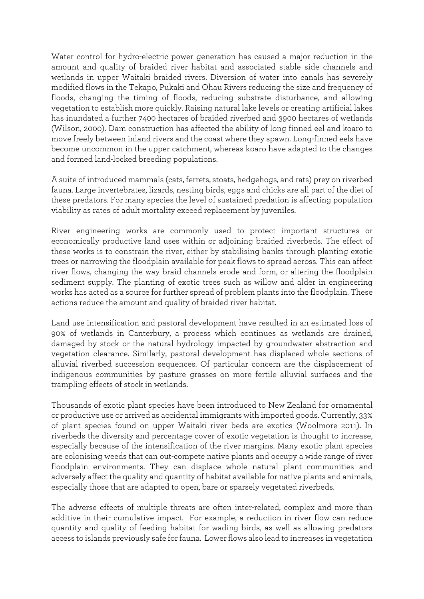Water control for hydro-electric power generation has caused a major reduction in the amount and quality of braided river habitat and associated stable side channels and wetlands in upper Waitaki braided rivers. Diversion of water into canals has severely modified flows in the Tekapo, Pukaki and Ohau Rivers reducing the size and frequency of floods, changing the timing of floods, reducing substrate disturbance, and allowing vegetation to establish more quickly. Raising natural lake levels or creating artificial lakes has inundated a further 7400 hectares of braided riverbed and 3900 hectares of wetlands (Wilson, 2000). Dam construction has affected the ability of long finned eel and koaro to move freely between inland rivers and the coast where they spawn. Long-finned eels have become uncommon in the upper catchment, whereas koaro have adapted to the changes and formed land-locked breeding populations.

A suite of introduced mammals (cats, ferrets, stoats, hedgehogs, and rats) prey on riverbed fauna. Large invertebrates, lizards, nesting birds, eggs and chicks are all part of the diet of these predators. For many species the level of sustained predation is affecting population viability as rates of adult mortality exceed replacement by juveniles.

River engineering works are commonly used to protect important structures or economically productive land uses within or adjoining braided riverbeds. The effect of these works is to constrain the river, either by stabilising banks through planting exotic trees or narrowing the floodplain available for peak flows to spread across. This can affect river flows, changing the way braid channels erode and form, or altering the floodplain sediment supply. The planting of exotic trees such as willow and alder in engineering works has acted as a source for further spread of problem plants into the floodplain. These actions reduce the amount and quality of braided river habitat.

Land use intensification and pastoral development have resulted in an estimated loss of 90% of wetlands in Canterbury, a process which continues as wetlands are drained, damaged by stock or the natural hydrology impacted by groundwater abstraction and vegetation clearance. Similarly, pastoral development has displaced whole sections of alluvial riverbed succession sequences. Of particular concern are the displacement of indigenous communities by pasture grasses on more fertile alluvial surfaces and the trampling effects of stock in wetlands.

Thousands of exotic plant species have been introduced to New Zealand for ornamental or productive use or arrived as accidental immigrants with imported goods. Currently, 33% of plant species found on upper Waitaki river beds are exotics (Woolmore 2011). In riverbeds the diversity and percentage cover of exotic vegetation is thought to increase, especially because of the intensification of the river margins. Many exotic plant species are colonising weeds that can out-compete native plants and occupy a wide range of river floodplain environments. They can displace whole natural plant communities and adversely affect the quality and quantity of habitat available for native plants and animals, especially those that are adapted to open, bare or sparsely vegetated riverbeds.

The adverse effects of multiple threats are often inter-related, complex and more than additive in their cumulative impact. For example, a reduction in river flow can reduce quantity and quality of feeding habitat for wading birds, as well as allowing predators access to islands previously safe for fauna. Lower flows also lead to increases in vegetation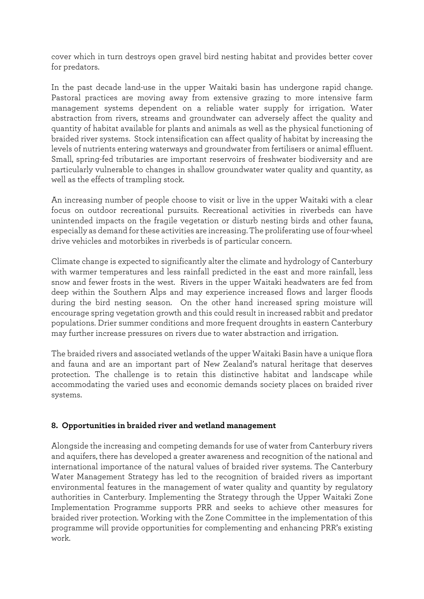cover which in turn destroys open gravel bird nesting habitat and provides better cover for predators.

In the past decade land-use in the upper Waitaki basin has undergone rapid change. Pastoral practices are moving away from extensive grazing to more intensive farm management systems dependent on a reliable water supply for irrigation. Water abstraction from rivers, streams and groundwater can adversely affect the quality and quantity of habitat available for plants and animals as well as the physical functioning of braided river systems. Stock intensification can affect quality of habitat by increasing the levels of nutrients entering waterways and groundwater from fertilisers or animal effluent. Small, spring-fed tributaries are important reservoirs of freshwater biodiversity and are particularly vulnerable to changes in shallow groundwater water quality and quantity, as well as the effects of trampling stock.

An increasing number of people choose to visit or live in the upper Waitaki with a clear focus on outdoor recreational pursuits. Recreational activities in riverbeds can have unintended impacts on the fragile vegetation or disturb nesting birds and other fauna, especially as demand for these activities are increasing. The proliferating use of four-wheel drive vehicles and motorbikes in riverbeds is of particular concern.

Climate change is expected to significantly alter the climate and hydrology of Canterbury with warmer temperatures and less rainfall predicted in the east and more rainfall, less snow and fewer frosts in the west. Rivers in the upper Waitaki headwaters are fed from deep within the Southern Alps and may experience increased flows and larger floods during the bird nesting season. On the other hand increased spring moisture will encourage spring vegetation growth and this could result in increased rabbit and predator populations. Drier summer conditions and more frequent droughts in eastern Canterbury may further increase pressures on rivers due to water abstraction and irrigation.

The braided rivers and associated wetlands of the upper Waitaki Basin have a unique flora and fauna and are an important part of New Zealand's natural heritage that deserves protection. The challenge is to retain this distinctive habitat and landscape while accommodating the varied uses and economic demands society places on braided river systems.

#### <span id="page-12-0"></span>**8. Opportunities in braided river and wetland management**

Alongside the increasing and competing demands for use of water from Canterbury rivers and aquifers, there has developed a greater awareness and recognition of the national and international importance of the natural values of braided river systems. The Canterbury Water Management Strategy has led to the recognition of braided rivers as important environmental features in the management of water quality and quantity by regulatory authorities in Canterbury. Implementing the Strategy through the Upper Waitaki Zone Implementation Programme supports PRR and seeks to achieve other measures for braided river protection. Working with the Zone Committee in the implementation of this programme will provide opportunities for complementing and enhancing PRR's existing work.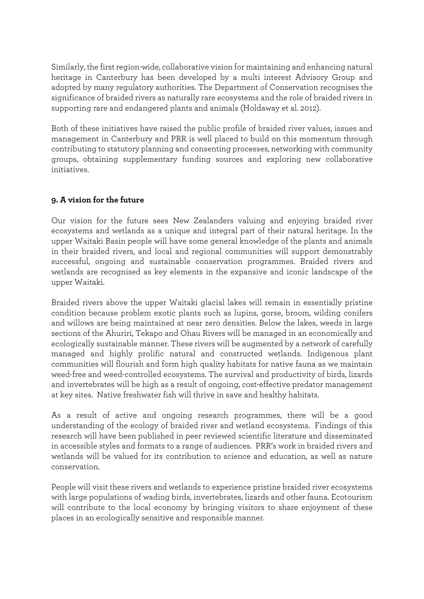Similarly, the first region-wide, collaborative vision for maintaining and enhancing natural heritage in Canterbury has been developed by a multi interest Advisory Group and adopted by many regulatory authorities. The Department of Conservation recognises the significance of braided rivers as naturally rare ecosystems and the role of braided rivers in supporting rare and endangered plants and animals (Holdaway et al. 2012).

Both of these initiatives have raised the public profile of braided river values, issues and management in Canterbury and PRR is well placed to build on this momentum through contributing to statutory planning and consenting processes, networking with community groups, obtaining supplementary funding sources and exploring new collaborative initiatives.

# <span id="page-13-0"></span>**9. A vision for the future**

Our vision for the future sees New Zealanders valuing and enjoying braided river ecosystems and wetlands as a unique and integral part of their natural heritage. In the upper Waitaki Basin people will have some general knowledge of the plants and animals in their braided rivers, and local and regional communities will support demonstrably successful, ongoing and sustainable conservation programmes. Braided rivers and wetlands are recognised as key elements in the expansive and iconic landscape of the upper Waitaki.

Braided rivers above the upper Waitaki glacial lakes will remain in essentially pristine condition because problem exotic plants such as lupins, gorse, broom, wilding conifers and willows are being maintained at near zero densities. Below the lakes, weeds in large sections of the Ahuriri, Tekapo and Ohau Rivers will be managed in an economically and ecologically sustainable manner. These rivers will be augmented by a network of carefully managed and highly prolific natural and constructed wetlands. Indigenous plant communities will flourish and form high quality habitats for native fauna as we maintain weed-free and weed-controlled ecosystems. The survival and productivity of birds, lizards and invertebrates will be high as a result of ongoing, cost-effective predator management at key sites. Native freshwater fish will thrive in save and healthy habitats.

As a result of active and ongoing research programmes, there will be a good understanding of the ecology of braided river and wetland ecosystems. Findings of this research will have been published in peer reviewed scientific literature and disseminated in accessible styles and formats to a range of audiences. PRR's work in braided rivers and wetlands will be valued for its contribution to science and education, as well as nature conservation.

People will visit these rivers and wetlands to experience pristine braided river ecosystems with large populations of wading birds, invertebrates, lizards and other fauna. Ecotourism will contribute to the local economy by bringing visitors to share enjoyment of these places in an ecologically sensitive and responsible manner.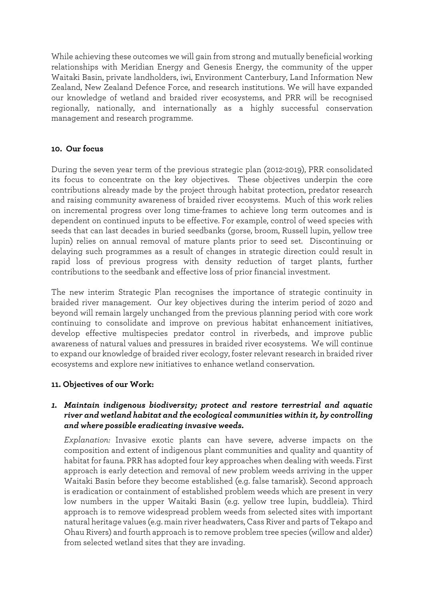While achieving these outcomes we will gain from strong and mutually beneficial working relationships with Meridian Energy and Genesis Energy, the community of the upper Waitaki Basin, private landholders, iwi, Environment Canterbury, Land Information New Zealand, New Zealand Defence Force, and research institutions. We will have expanded our knowledge of wetland and braided river ecosystems, and PRR will be recognised regionally, nationally, and internationally as a highly successful conservation management and research programme.

#### <span id="page-14-0"></span>**10. Our focus**

During the seven year term of the previous strategic plan (2012-2019), PRR consolidated its focus to concentrate on the key objectives. These objectives underpin the core contributions already made by the project through habitat protection, predator research and raising community awareness of braided river ecosystems. Much of this work relies on incremental progress over long time-frames to achieve long term outcomes and is dependent on continued inputs to be effective. For example, control of weed species with seeds that can last decades in buried seedbanks (gorse, broom, Russell lupin, yellow tree lupin) relies on annual removal of mature plants prior to seed set. Discontinuing or delaying such programmes as a result of changes in strategic direction could result in rapid loss of previous progress with density reduction of target plants, further contributions to the seedbank and effective loss of prior financial investment.

The new interim Strategic Plan recognises the importance of strategic continuity in braided river management. Our key objectives during the interim period of 2020 and beyond will remain largely unchanged from the previous planning period with core work continuing to consolidate and improve on previous habitat enhancement initiatives, develop effective multispecies predator control in riverbeds, and improve public awareness of natural values and pressures in braided river ecosystems. We will continue to expand our knowledge of braided river ecology, foster relevant research in braided river ecosystems and explore new initiatives to enhance wetland conservation.

#### **11. Objectives of our Work:**

## *1. Maintain indigenous biodiversity; protect and restore terrestrial and aquatic river and wetland habitat and the ecological communities within it, by controlling and where possible eradicating invasive weeds.*

*Explanation:* Invasive exotic plants can have severe, adverse impacts on the composition and extent of indigenous plant communities and quality and quantity of habitat for fauna. PRR has adopted four key approaches when dealing with weeds. First approach is early detection and removal of new problem weeds arriving in the upper Waitaki Basin before they become established (e.g. false tamarisk). Second approach is eradication or containment of established problem weeds which are present in very low numbers in the upper Waitaki Basin (e.g. yellow tree lupin, buddleia). Third approach is to remove widespread problem weeds from selected sites with important natural heritage values (e.g. main river headwaters, Cass River and parts of Tekapo and Ohau Rivers) and fourth approach is to remove problem tree species (willow and alder) from selected wetland sites that they are invading.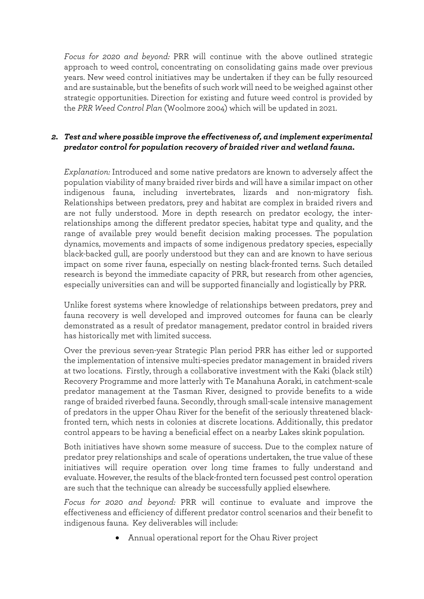*Focus for 2020 and beyond:* PRR will continue with the above outlined strategic approach to weed control, concentrating on consolidating gains made over previous years. New weed control initiatives may be undertaken if they can be fully resourced and are sustainable, but the benefits of such work will need to be weighed against other strategic opportunities. Direction for existing and future weed control is provided by the *PRR Weed Control Plan* (Woolmore 2004) which will be updated in 2021.

## *2. Test and where possible improve the effectiveness of, and implement experimental predator control for population recovery of braided river and wetland fauna.*

*Explanation:* Introduced and some native predators are known to adversely affect the population viability of many braided river birds and will have a similar impact on other indigenous fauna, including invertebrates, lizards and non-migratory fish. Relationships between predators, prey and habitat are complex in braided rivers and are not fully understood. More in depth research on predator ecology, the interrelationships among the different predator species, habitat type and quality, and the range of available prey would benefit decision making processes. The population dynamics, movements and impacts of some indigenous predatory species, especially black-backed gull, are poorly understood but they can and are known to have serious impact on some river fauna, especially on nesting black-fronted terns. Such detailed research is beyond the immediate capacity of PRR, but research from other agencies, especially universities can and will be supported financially and logistically by PRR.

Unlike forest systems where knowledge of relationships between predators, prey and fauna recovery is well developed and improved outcomes for fauna can be clearly demonstrated as a result of predator management, predator control in braided rivers has historically met with limited success.

Over the previous seven-year Strategic Plan period PRR has either led or supported the implementation of intensive multi-species predator management in braided rivers at two locations. Firstly, through a collaborative investment with the Kaki (black stilt) Recovery Programme and more latterly with Te Manahuna Aoraki, in catchment-scale predator management at the Tasman River, designed to provide benefits to a wide range of braided riverbed fauna. Secondly, through small-scale intensive management of predators in the upper Ohau River for the benefit of the seriously threatened blackfronted tern, which nests in colonies at discrete locations. Additionally, this predator control appears to be having a beneficial effect on a nearby Lakes skink population.

Both initiatives have shown some measure of success. Due to the complex nature of predator prey relationships and scale of operations undertaken, the true value of these initiatives will require operation over long time frames to fully understand and evaluate. However, the results of the black-fronted tern focussed pest control operation are such that the technique can already be successfully applied elsewhere.

*Focus for 2020 and beyond:* PRR will continue to evaluate and improve the effectiveness and efficiency of different predator control scenarios and their benefit to indigenous fauna. Key deliverables will include:

• Annual operational report for the Ohau River project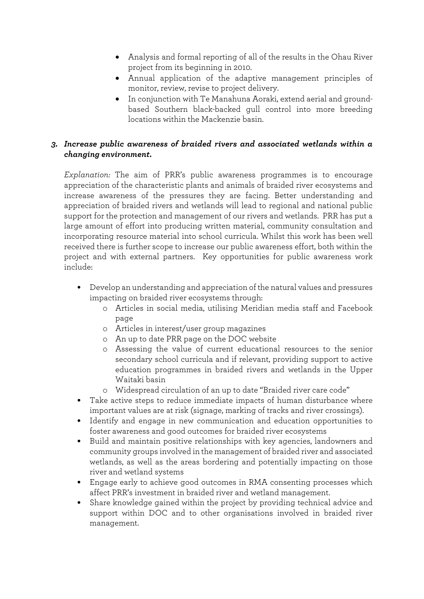- Analysis and formal reporting of all of the results in the Ohau River project from its beginning in 2010.
- Annual application of the adaptive management principles of monitor, review, revise to project delivery.
- In conjunction with Te Manahuna Aoraki, extend aerial and groundbased Southern black-backed gull control into more breeding locations within the Mackenzie basin.

# *3. Increase public awareness of braided rivers and associated wetlands within a changing environment.*

*Explanation:* The aim of PRR's public awareness programmes is to encourage appreciation of the characteristic plants and animals of braided river ecosystems and increase awareness of the pressures they are facing. Better understanding and appreciation of braided rivers and wetlands will lead to regional and national public support for the protection and management of our rivers and wetlands. PRR has put a large amount of effort into producing written material, community consultation and incorporating resource material into school curricula. Whilst this work has been well received there is further scope to increase our public awareness effort, both within the project and with external partners. Key opportunities for public awareness work include:

- Develop an understanding and appreciation of the natural values and pressures impacting on braided river ecosystems through:
	- o Articles in social media, utilising Meridian media staff and Facebook page
	- o Articles in interest/user group magazines
	- o An up to date PRR page on the DOC website
	- o Assessing the value of current educational resources to the senior secondary school curricula and if relevant, providing support to active education programmes in braided rivers and wetlands in the Upper Waitaki basin
	- o Widespread circulation of an up to date "Braided river care code"
- Take active steps to reduce immediate impacts of human disturbance where important values are at risk (signage, marking of tracks and river crossings).
- Identify and engage in new communication and education opportunities to foster awareness and good outcomes for braided river ecosystems
- Build and maintain positive relationships with key agencies, landowners and community groups involved in the management of braided river and associated wetlands, as well as the areas bordering and potentially impacting on those river and wetland systems
- Engage early to achieve good outcomes in RMA consenting processes which affect PRR's investment in braided river and wetland management.
- Share knowledge gained within the project by providing technical advice and support within DOC and to other organisations involved in braided river management.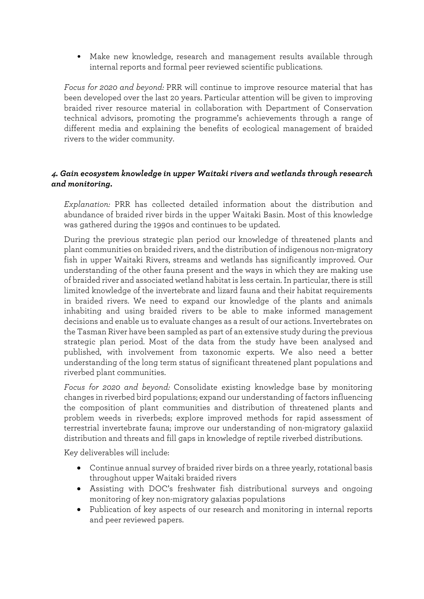• Make new knowledge, research and management results available through internal reports and formal peer reviewed scientific publications.

*Focus for 2020 and beyond:* PRR will continue to improve resource material that has been developed over the last 20 years. Particular attention will be given to improving braided river resource material in collaboration with Department of Conservation technical advisors, promoting the programme's achievements through a range of different media and explaining the benefits of ecological management of braided rivers to the wider community.

## <sup>4</sup>*. Gain ecosystem knowledge in upper Waitaki rivers and wetlands through research and monitoring.*

*Explanation:* PRR has collected detailed information about the distribution and abundance of braided river birds in the upper Waitaki Basin. Most of this knowledge was gathered during the 1990s and continues to be updated.

During the previous strategic plan period our knowledge of threatened plants and plant communities on braided rivers, and the distribution of indigenous non-migratory fish in upper Waitaki Rivers, streams and wetlands has significantly improved. Our understanding of the other fauna present and the ways in which they are making use of braided river and associated wetland habitat is less certain. In particular, there is still limited knowledge of the invertebrate and lizard fauna and their habitat requirements in braided rivers. We need to expand our knowledge of the plants and animals inhabiting and using braided rivers to be able to make informed management decisions and enable us to evaluate changes as a result of our actions. Invertebrates on the Tasman River have been sampled as part of an extensive study during the previous strategic plan period. Most of the data from the study have been analysed and published, with involvement from taxonomic experts. We also need a better understanding of the long term status of significant threatened plant populations and riverbed plant communities.

*Focus for 2020 and beyond:* Consolidate existing knowledge base by monitoring changes in riverbed bird populations; expand our understanding of factors influencing the composition of plant communities and distribution of threatened plants and problem weeds in riverbeds; explore improved methods for rapid assessment of terrestrial invertebrate fauna; improve our understanding of non-migratory galaxiid distribution and threats and fill gaps in knowledge of reptile riverbed distributions.

Key deliverables will include:

- Continue annual survey of braided river birds on a three yearly, rotational basis throughout upper Waitaki braided rivers
- Assisting with DOC's freshwater fish distributional surveys and ongoing monitoring of key non-migratory galaxias populations
- Publication of key aspects of our research and monitoring in internal reports and peer reviewed papers.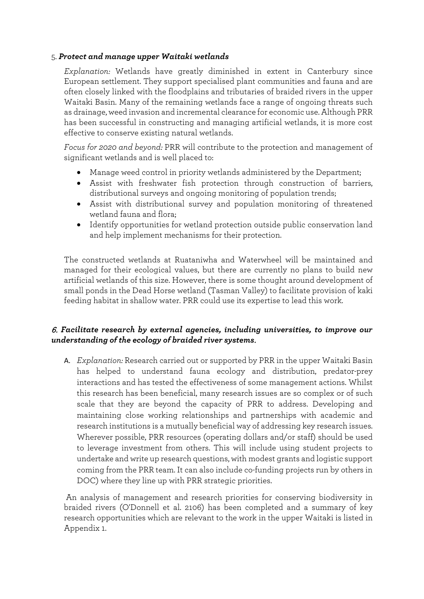#### 5. *Protect and manage upper Waitaki wetlands*

*Explanation:* Wetlands have greatly diminished in extent in Canterbury since European settlement. They support specialised plant communities and fauna and are often closely linked with the floodplains and tributaries of braided rivers in the upper Waitaki Basin. Many of the remaining wetlands face a range of ongoing threats such as drainage, weed invasion and incremental clearance for economic use. Although PRR has been successful in constructing and managing artificial wetlands, it is more cost effective to conserve existing natural wetlands.

*Focus for 2020 and beyond:* PRR will contribute to the protection and management of significant wetlands and is well placed to:

- Manage weed control in priority wetlands administered by the Department;
- Assist with freshwater fish protection through construction of barriers, distributional surveys and ongoing monitoring of population trends;
- Assist with distributional survey and population monitoring of threatened wetland fauna and flora;
- Identify opportunities for wetland protection outside public conservation land and help implement mechanisms for their protection.

The constructed wetlands at Ruataniwha and Waterwheel will be maintained and managed for their ecological values, but there are currently no plans to build new artificial wetlands of this size. However, there is some thought around development of small ponds in the Dead Horse wetland (Tasman Valley) to facilitate provision of kaki feeding habitat in shallow water. PRR could use its expertise to lead this work.

## 6. *Facilitate research by external agencies, including universities, to improve our understanding of the ecology of braided river systems*.

A. *Explanation:* Research carried out or supported by PRR in the upper Waitaki Basin has helped to understand fauna ecology and distribution, predator-prey interactions and has tested the effectiveness of some management actions. Whilst this research has been beneficial, many research issues are so complex or of such scale that they are beyond the capacity of PRR to address. Developing and maintaining close working relationships and partnerships with academic and research institutions is a mutually beneficial way of addressing key research issues. Wherever possible, PRR resources (operating dollars and/or staff) should be used to leverage investment from others. This will include using student projects to undertake and write up research questions, with modest grants and logistic support coming from the PRR team. It can also include co-funding projects run by others in DOC) where they line up with PRR strategic priorities.

An analysis of management and research priorities for conserving biodiversity in braided rivers (O'Donnell et al. 2106) has been completed and a summary of key research opportunities which are relevant to the work in the upper Waitaki is listed in Appendix 1.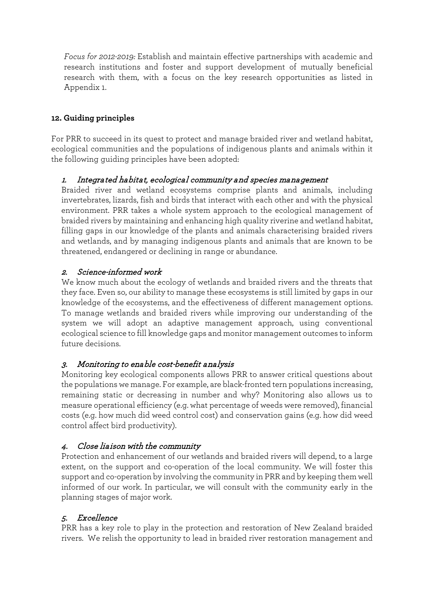*Focus for 2012-2019:* Establish and maintain effective partnerships with academic and research institutions and foster and support development of mutually beneficial research with them, with a focus on the key research opportunities as listed in Appendix 1.

# <span id="page-19-0"></span>**12. Guiding principles**

For PRR to succeed in its quest to protect and manage braided river and wetland habitat, ecological communities and the populations of indigenous plants and animals within it the following guiding principles have been adopted:

# 1. Integrated habitat, ecological community and species management

Braided river and wetland ecosystems comprise plants and animals, including invertebrates, lizards, fish and birds that interact with each other and with the physical environment. PRR takes a whole system approach to the ecological management of braided rivers by maintaining and enhancing high quality riverine and wetland habitat, filling gaps in our knowledge of the plants and animals characterising braided rivers and wetlands, and by managing indigenous plants and animals that are known to be threatened, endangered or declining in range or abundance.

# 2. Science-informed work

We know much about the ecology of wetlands and braided rivers and the threats that they face. Even so, our ability to manage these ecosystems is still limited by gaps in our knowledge of the ecosystems, and the effectiveness of different management options. To manage wetlands and braided rivers while improving our understanding of the system we will adopt an adaptive management approach, using conventional ecological science to fill knowledge gaps and monitor management outcomes to inform future decisions.

# 3. Monitoring to enable cost-benefit analysis

Monitoring key ecological components allows PRR to answer critical questions about the populations we manage. For example, are black-fronted tern populations increasing, remaining static or decreasing in number and why? Monitoring also allows us to measure operational efficiency (e.g. what percentage of weeds were removed), financial costs (e.g. how much did weed control cost) and conservation gains (e.g. how did weed control affect bird productivity).

# 4. Close liaison with the community

Protection and enhancement of our wetlands and braided rivers will depend, to a large extent, on the support and co-operation of the local community. We will foster this support and co-operation by involving the community in PRR and by keeping them well informed of our work. In particular, we will consult with the community early in the planning stages of major work.

# 5. Excellence

PRR has a key role to play in the protection and restoration of New Zealand braided rivers. We relish the opportunity to lead in braided river restoration management and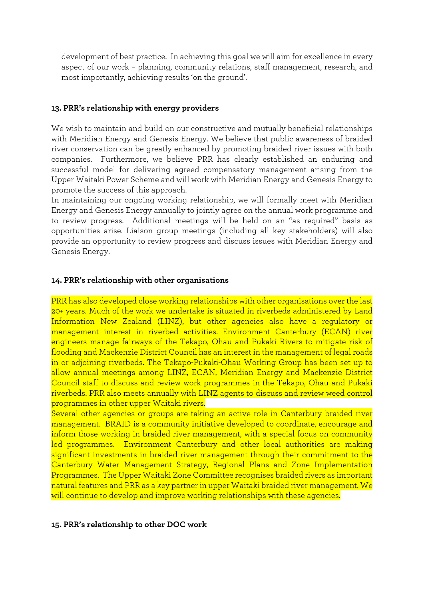development of best practice. In achieving this goal we will aim for excellence in every aspect of our work – planning, community relations, staff management, research, and most importantly, achieving results 'on the ground'.

#### <span id="page-20-0"></span>**13. PRR's relationship with energy providers**

We wish to maintain and build on our constructive and mutually beneficial relationships with Meridian Energy and Genesis Energy. We believe that public awareness of braided river conservation can be greatly enhanced by promoting braided river issues with both companies. Furthermore, we believe PRR has clearly established an enduring and successful model for delivering agreed compensatory management arising from the Upper Waitaki Power Scheme and will work with Meridian Energy and Genesis Energy to promote the success of this approach.

In maintaining our ongoing working relationship, we will formally meet with Meridian Energy and Genesis Energy annually to jointly agree on the annual work programme and to review progress. Additional meetings will be held on an "as required" basis as opportunities arise. Liaison group meetings (including all key stakeholders) will also provide an opportunity to review progress and discuss issues with Meridian Energy and Genesis Energy.

#### <span id="page-20-1"></span>**14. PRR's relationship with other organisations**

PRR has also developed close working relationships with other organisations over the last 20+ years. Much of the work we undertake is situated in riverbeds administered by Land Information New Zealand (LINZ), but other agencies also have a regulatory or management interest in riverbed activities. Environment Canterbury (ECAN) river engineers manage fairways of the Tekapo, Ohau and Pukaki Rivers to mitigate risk of flooding and Mackenzie District Council has an interest in the management of legal roads in or adjoining riverbeds. The Tekapo-Pukaki-Ohau Working Group has been set up to allow annual meetings among LINZ, ECAN, Meridian Energy and Mackenzie District Council staff to discuss and review work programmes in the Tekapo, Ohau and Pukaki riverbeds. PRR also meets annually with LINZ agents to discuss and review weed control programmes in other upper Waitaki rivers.

Several other agencies or groups are taking an active role in Canterbury braided river management. BRAID is a community initiative developed to coordinate, encourage and inform those working in braided river management, with a special focus on community led programmes. Environment Canterbury and other local authorities are making significant investments in braided river management through their commitment to the Canterbury Water Management Strategy, Regional Plans and Zone Implementation Programmes. The Upper Waitaki Zone Committee recognises braided rivers as important natural features and PRR as a key partner in upper Waitaki braided river management. We will continue to develop and improve working relationships with these agencies.

#### <span id="page-20-2"></span>**15. PRR's relationship to other DOC work**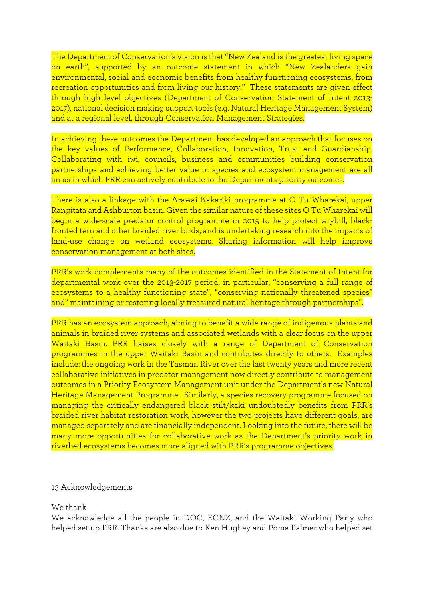The Department of Conservation's vision is that "New Zealand is the greatest living space on earth", supported by an outcome statement in which "New Zealanders gain environmental, social and economic benefits from healthy functioning ecosystems, from recreation opportunities and from living our history." These statements are given effect through high level objectives (Department of Conservation Statement of Intent 2013- 2017), national decision making support tools (e.g. Natural Heritage Management System) and at a regional level, through Conservation Management Strategies.

In achieving these outcomes the Department has developed an approach that focuses on the key values of Performance, Collaboration, Innovation, Trust and Guardianship. Collaborating with iwi, councils, business and communities building conservation partnerships and achieving better value in species and ecosystem management are all areas in which PRR can actively contribute to the Departments priority outcomes.

There is also a linkage with the Arawai Kakariki programme at O Tu Wharekai, upper Rangitata and Ashburton basin. Given the similar nature of these sites O Tu Wharekai will begin a wide-scale predator control programme in 2015 to help protect wrybill, blackfronted tern and other braided river birds, and is undertaking research into the impacts of land-use change on wetland ecosystems. Sharing information will help improve conservation management at both sites.

PRR's work complements many of the outcomes identified in the Statement of Intent for departmental work over the 2013-2017 period, in particular, "conserving a full range of ecosystems to a healthy functioning state", "conserving nationally threatened species" and" maintaining or restoring locally treasured natural heritage through partnerships".

PRR has an ecosystem approach, aiming to benefit a wide range of indigenous plants and animals in braided river systems and associated wetlands with a clear focus on the upper Waitaki Basin. PRR liaises closely with a range of Department of Conservation programmes in the upper Waitaki Basin and contributes directly to others. Examples include: the ongoing work in the Tasman River over the last twenty years and more recent collaborative initiatives in predator management now directly contribute to management outcomes in a Priority Ecosystem Management unit under the Department's new Natural Heritage Management Programme. Similarly, a species recovery programme focused on managing the critically endangered black stilt/kaki undoubtedly benefits from PRR's braided river habitat restoration work, however the two projects have different goals, are managed separately and are financially independent. Looking into the future, there will be many more opportunities for collaborative work as the Department's priority work in riverbed ecosystems becomes more aligned with PRR's programme objectives.

#### 13 Acknowledgements

#### We thank

We acknowledge all the people in DOC, ECNZ, and the Waitaki Working Party who helped set up PRR. Thanks are also due to Ken Hughey and Poma Palmer who helped set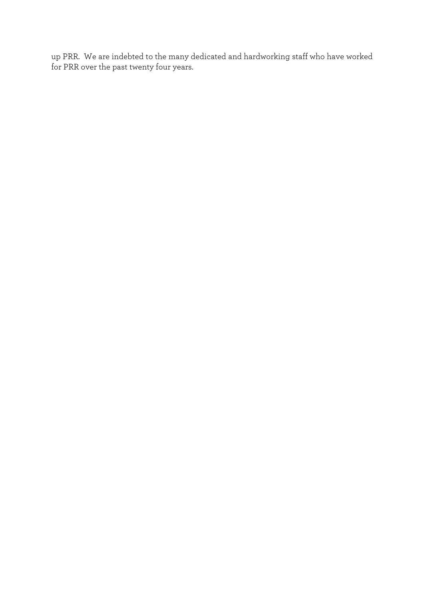up PRR. We are indebted to the many dedicated and hardworking staff who have worked for PRR over the past twenty four years.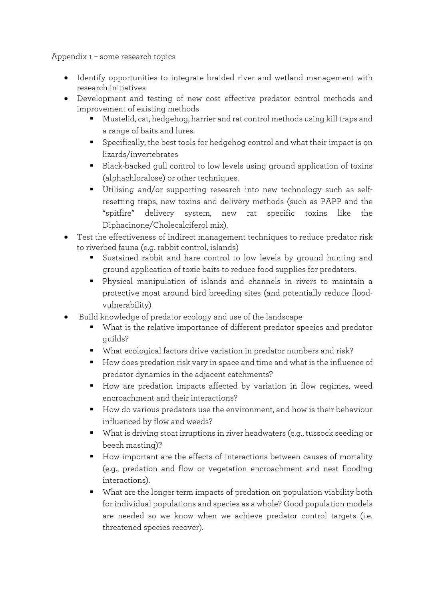<span id="page-23-0"></span>Appendix 1 – some research topics

- Identify opportunities to integrate braided river and wetland management with research initiatives
- Development and testing of new cost effective predator control methods and improvement of existing methods
	- Mustelid, cat, hedgehog, harrier and rat control methods using kill traps and a range of baits and lures.
	- Specifically, the best tools for hedgehog control and what their impact is on lizards/invertebrates
	- Black-backed gull control to low levels using ground application of toxins (alphachloralose) or other techniques.
	- Utilising and/or supporting research into new technology such as selfresetting traps, new toxins and delivery methods (such as PAPP and the "spitfire" delivery system, new rat specific toxins like the Diphacinone/Cholecalciferol mix).
- Test the effectiveness of indirect management techniques to reduce predator risk to riverbed fauna (e.g. rabbit control, islands)
	- Sustained rabbit and hare control to low levels by ground hunting and ground application of toxic baits to reduce food supplies for predators.
	- Physical manipulation of islands and channels in rivers to maintain a protective moat around bird breeding sites (and potentially reduce floodvulnerability)
- Build knowledge of predator ecology and use of the landscape
	- What is the relative importance of different predator species and predator guilds?
	- What ecological factors drive variation in predator numbers and risk?
	- How does predation risk vary in space and time and what is the influence of predator dynamics in the adjacent catchments?
	- How are predation impacts affected by variation in flow regimes, weed encroachment and their interactions?
	- How do various predators use the environment, and how is their behaviour influenced by flow and weeds?
	- What is driving stoat irruptions in river headwaters (e.g., tussock seeding or beech masting)?
	- How important are the effects of interactions between causes of mortality (e.g., predation and flow or vegetation encroachment and nest flooding interactions).
	- What are the longer term impacts of predation on population viability both for individual populations and species as a whole? Good population models are needed so we know when we achieve predator control targets (i.e. threatened species recover).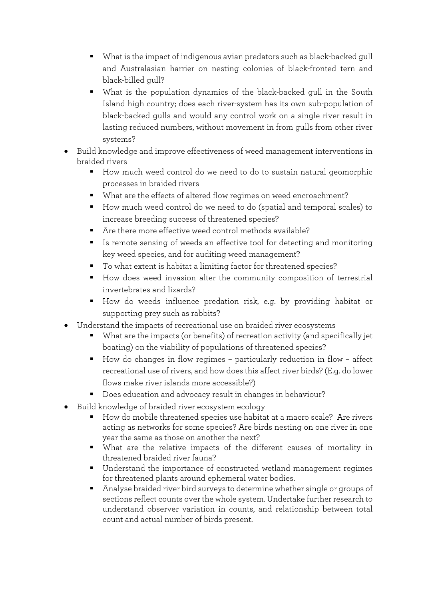- What is the impact of indigenous avian predators such as black-backed gull and Australasian harrier on nesting colonies of black-fronted tern and black-billed gull?
- What is the population dynamics of the black-backed gull in the South Island high country; does each river-system has its own sub-population of black-backed gulls and would any control work on a single river result in lasting reduced numbers, without movement in from gulls from other river systems?
- Build knowledge and improve effectiveness of weed management interventions in braided rivers
	- How much weed control do we need to do to sustain natural geomorphic processes in braided rivers
	- What are the effects of altered flow regimes on weed encroachment?
	- How much weed control do we need to do (spatial and temporal scales) to increase breeding success of threatened species?
	- Are there more effective weed control methods available?
	- Is remote sensing of weeds an effective tool for detecting and monitoring key weed species, and for auditing weed management?
	- To what extent is habitat a limiting factor for threatened species?
	- How does weed invasion alter the community composition of terrestrial invertebrates and lizards?
	- How do weeds influence predation risk, e.g. by providing habitat or supporting prey such as rabbits?
- Understand the impacts of recreational use on braided river ecosystems
	- What are the impacts (or benefits) of recreation activity (and specifically jet boating) on the viability of populations of threatened species?
	- How do changes in flow regimes particularly reduction in flow affect recreational use of rivers, and how does this affect river birds? (E.g. do lower flows make river islands more accessible?)
	- Does education and advocacy result in changes in behaviour?
- Build knowledge of braided river ecosystem ecology
	- How do mobile threatened species use habitat at a macro scale? Are rivers acting as networks for some species? Are birds nesting on one river in one year the same as those on another the next?
	- What are the relative impacts of the different causes of mortality in threatened braided river fauna?
	- Understand the importance of constructed wetland management regimes for threatened plants around ephemeral water bodies.
	- Analyse braided river bird surveys to determine whether single or groups of sections reflect counts over the whole system. Undertake further research to understand observer variation in counts, and relationship between total count and actual number of birds present.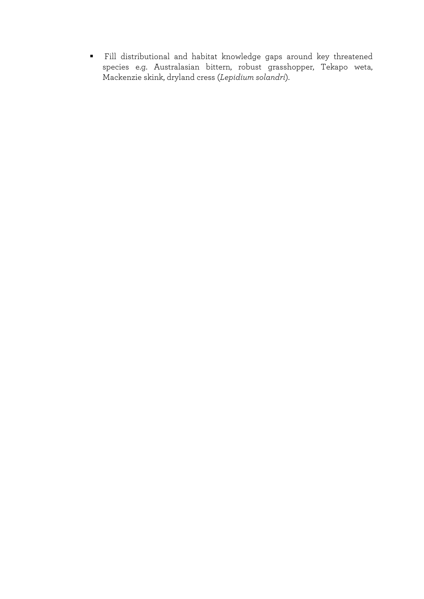Fill distributional and habitat knowledge gaps around key threatened species e.g. Australasian bittern, robust grasshopper, Tekapo weta, Mackenzie skink, dryland cress (*Lepidium solandri*).